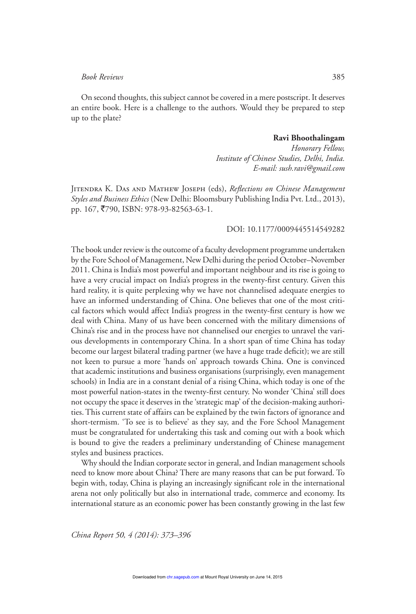## *Book Reviews* 385

On second thoughts, this subject cannot be covered in a mere postscript. It deserves an entire book. Here is a challenge to the authors. Would they be prepared to step up to the plate?

# **Ravi Bhoothalingam**

*Honorary Fellow, Institute of Chinese Studies, Delhi, India. E-mail: sush.ravi@gmail.com*

Jitendra K. Das and Mathew Joseph (eds), *Reflections on Chinese Management Styles and Business Ethics* (New Delhi: Bloomsbury Publishing India Pvt. Ltd., 2013), pp. 167, ₹790, ISBN: 978-93-82563-63-1.

#### DOI: 10.1177/0009445514549282

The book under review is the outcome of a faculty development programme undertaken by the Fore School of Management, New Delhi during the period October–November 2011. China is India's most powerful and important neighbour and its rise is going to have a very crucial impact on India's progress in the twenty-first century. Given this hard reality, it is quite perplexing why we have not channelised adequate energies to have an informed understanding of China. One believes that one of the most critical factors which would affect India's progress in the twenty-first century is how we deal with China. Many of us have been concerned with the military dimensions of China's rise and in the process have not channelised our energies to unravel the various developments in contemporary China. In a short span of time China has today become our largest bilateral trading partner (we have a huge trade deficit); we are still not keen to pursue a more 'hands on' approach towards China. One is convinced that academic institutions and business organisations (surprisingly, even management schools) in India are in a constant denial of a rising China, which today is one of the most powerful nation-states in the twenty-first century. No wonder 'China' still does not occupy the space it deserves in the 'strategic map' of the decision-making authorities. This current state of affairs can be explained by the twin factors of ignorance and short-termism. 'To see is to believe' as they say, and the Fore School Management must be congratulated for undertaking this task and coming out with a book which is bound to give the readers a preliminary understanding of Chinese management styles and business practices.

Why should the Indian corporate sector in general, and Indian management schools need to know more about China? There are many reasons that can be put forward. To begin with, today, China is playing an increasingly significant role in the international arena not only politically but also in international trade, commerce and economy. Its international stature as an economic power has been constantly growing in the last few

*China Report 50, 4 (2014): 373–396*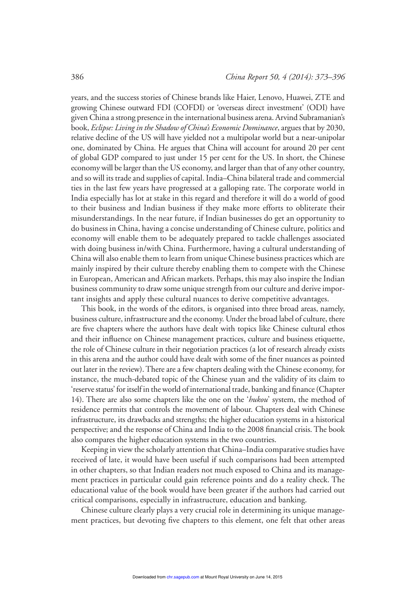years, and the success stories of Chinese brands like Haier, Lenovo, Huawei, ZTE and growing Chinese outward FDI (COFDI) or 'overseas direct investment' (ODI) have given China a strong presence in the international business arena. Arvind Subramanian's book, *Eclipse: Living in the Shadow of China's Economic Dominance*, argues that by 2030, relative decline of the US will have yielded not a multipolar world but a near-unipolar one, dominated by China. He argues that China will account for around 20 per cent of global GDP compared to just under 15 per cent for the US. In short, the Chinese economy will be larger than the US economy, and larger than that of any other country, and so will its trade and supplies of capital. India–China bilateral trade and commercial ties in the last few years have progressed at a galloping rate. The corporate world in India especially has lot at stake in this regard and therefore it will do a world of good to their business and Indian business if they make more efforts to obliterate their misunderstandings. In the near future, if Indian businesses do get an opportunity to do business in China, having a concise understanding of Chinese culture, politics and economy will enable them to be adequately prepared to tackle challenges associated with doing business in/with China. Furthermore, having a cultural understanding of China will also enable them to learn from unique Chinese business practices which are mainly inspired by their culture thereby enabling them to compete with the Chinese in European, American and African markets. Perhaps, this may also inspire the Indian business community to draw some unique strength from our culture and derive important insights and apply these cultural nuances to derive competitive advantages.

This book, in the words of the editors, is organised into three broad areas, namely, business culture, infrastructure and the economy. Under the broad label of culture, there are five chapters where the authors have dealt with topics like Chinese cultural ethos and their influence on Chinese management practices, culture and business etiquette, the role of Chinese culture in their negotiation practices (a lot of research already exists in this arena and the author could have dealt with some of the finer nuances as pointed out later in the review). There are a few chapters dealing with the Chinese economy, for instance, the much-debated topic of the Chinese yuan and the validity of its claim to 'reserve status' for itself in the world of international trade, banking and finance (Chapter 14). There are also some chapters like the one on the '*hukou*' system, the method of residence permits that controls the movement of labour. Chapters deal with Chinese infrastructure, its drawbacks and strengths; the higher education systems in a historical perspective; and the response of China and India to the 2008 financial crisis. The book also compares the higher education systems in the two countries.

Keeping in view the scholarly attention that China–India comparative studies have received of late, it would have been useful if such comparisons had been attempted in other chapters, so that Indian readers not much exposed to China and its management practices in particular could gain reference points and do a reality check. The educational value of the book would have been greater if the authors had carried out critical comparisons, especially in infrastructure, education and banking.

Chinese culture clearly plays a very crucial role in determining its unique management practices, but devoting five chapters to this element, one felt that other areas